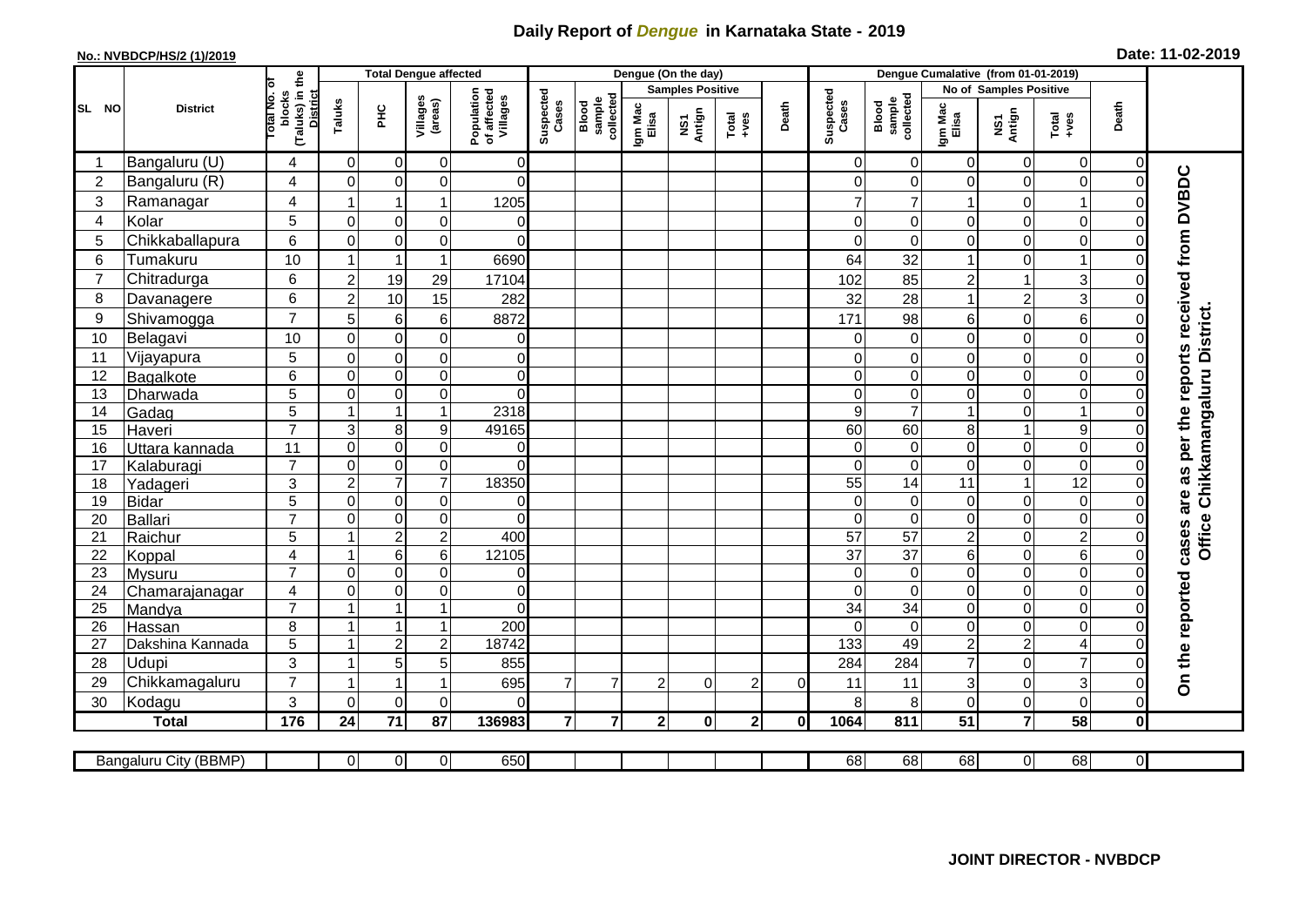## **Daily Report of** *Dengue* **in Karnataka State - 2019**

## **No.: NVBDCP/HS/2 (1)/2019 Date: 11-02-2019**

|                |                           |                                                       |                                           | <b>Total Dengue affected</b>     |                                       |                |                                       |                  |                         | Dengue (On the day) |                |                    |                              |                   |                                  |                               |                               |                |                                                                            |
|----------------|---------------------------|-------------------------------------------------------|-------------------------------------------|----------------------------------|---------------------------------------|----------------|---------------------------------------|------------------|-------------------------|---------------------|----------------|--------------------|------------------------------|-------------------|----------------------------------|-------------------------------|-------------------------------|----------------|----------------------------------------------------------------------------|
|                |                           |                                                       |                                           |                                  |                                       |                |                                       |                  | <b>Samples Positive</b> |                     |                |                    |                              |                   | No of Samples Positive           |                               |                               |                |                                                                            |
| SL NO          | <b>District</b>           | (Taluks) in the<br>District<br>lotal No. ol<br>blocks | Taluks<br>$rac{C}{\pi}$                   | Villages<br>(areas)              | Population<br>of affected<br>Villages | Suspected      | Blood<br>sample<br>collected<br>Cases | Igm Mac<br>Elisa | NS1<br>Antign           | $Totael$            | Death          | Suspected<br>Cases | Blood<br>sample<br>collected | Igm Mac<br>Elisa  | NS1<br>Antign                    | Total<br>+ves                 | Death                         |                |                                                                            |
| -1             | Bangaluru (U)             | 4                                                     | 0                                         | $\mathbf 0$                      | 0                                     | 0              |                                       |                  |                         |                     |                |                    | $\Omega$                     | $\overline{0}$    | $\overline{0}$                   | $\mathbf 0$                   | 0                             | $\overline{0}$ |                                                                            |
| $\overline{2}$ | Bangaluru (R)             | $\overline{4}$                                        | $\mathbf 0$                               | $\mathbf 0$                      | $\mathbf 0$                           | $\overline{0}$ |                                       |                  |                         |                     |                |                    | ∩                            | 0                 | 0                                | $\mathbf 0$                   | $\mathbf 0$                   | $\Omega$       |                                                                            |
| 3              | Ramanagar                 | 4                                                     |                                           |                                  | 1                                     | 1205           |                                       |                  |                         |                     |                |                    |                              |                   |                                  | $\mathbf 0$                   | 1                             |                |                                                                            |
| 4              | Kolar                     | $\overline{5}$                                        | $\mathbf 0$                               | $\pmb{0}$                        | 0                                     | 0              |                                       |                  |                         |                     |                |                    | 0                            | 0                 | 0                                | $\boldsymbol{0}$              | $\mathbf 0$                   | $\Omega$       |                                                                            |
| 5              | Chikkaballapura           | 6                                                     | $\mathbf 0$                               | $\mathbf 0$                      | $\mathbf 0$                           | $\Omega$       |                                       |                  |                         |                     |                |                    | 0                            | $\mathbf 0$       | 0                                | $\mathbf 0$                   | $\mathbf 0$                   | 0              |                                                                            |
| 6              | Tumakuru                  | 10                                                    | $\overline{1}$                            | $\overline{\mathbf{1}}$          | $\mathbf{1}$                          | 6690           |                                       |                  |                         |                     |                |                    | 64                           | 32                | $\mathbf{1}$                     | $\mathbf 0$                   | 1                             | 0              |                                                                            |
| $\overline{7}$ | Chitradurga               | 6                                                     | $\overline{c}$                            | 19                               | 29                                    | 17104          |                                       |                  |                         |                     |                |                    | 102                          | 85                | $\overline{c}$                   | $\mathbf{1}$                  | 3                             | 0              |                                                                            |
| 8              | Davanagere                | 6                                                     | $\overline{c}$                            | 10                               | 15                                    | 282            |                                       |                  |                         |                     |                |                    | 32                           | 28                | 1                                | $\mathbf 2$                   | 3                             | 0              |                                                                            |
| 9              | Shivamogga                | $\overline{7}$                                        | 5                                         | 6                                | $6\phantom{1}$                        | 8872           |                                       |                  |                         |                     |                |                    | 171                          | 98                | 6                                | $\mathbf 0$                   | 6                             | O              | as per the reports received from DVBDC<br>Office Chikkamangaluru District. |
| 10             | Belagavi                  | 10                                                    | $\mathbf 0$                               | $\mathbf 0$                      | $\mathbf 0$                           | $\overline{0}$ |                                       |                  |                         |                     |                |                    | $\Omega$                     | $\mathbf 0$       | $\mathbf 0$                      | $\mathbf 0$                   | $\mathbf 0$                   | $\Omega$       |                                                                            |
| 11             | Vijayapura                | 5                                                     | $\mathbf 0$                               | $\boldsymbol{0}$                 | 0                                     | $\overline{0}$ |                                       |                  |                         |                     |                |                    | $\Omega$                     | $\mathbf 0$       | 0                                | $\boldsymbol{0}$              | $\mathbf 0$                   | 0              |                                                                            |
| 12             | Bagalkote                 | 6                                                     | $\mathbf 0$                               | $\overline{\mathsf{o}}$          | $\overline{0}$                        | $\overline{0}$ |                                       |                  |                         |                     |                |                    | 0                            | $\boldsymbol{0}$  | $\overline{0}$                   | $\overline{0}$                | $\overline{0}$                | $\Omega$       |                                                                            |
| 13             | Dharwada                  | 5                                                     | $\Omega$                                  | $\mathbf 0$                      | $\mathsf 0$                           | $\Omega$       |                                       |                  |                         |                     |                |                    | $\Omega$                     | $\overline{0}$    | 0                                | $\mathbf 0$                   | $\mathbf 0$                   | $\Omega$       |                                                                            |
| 14             | Gadag                     | $\overline{5}$                                        | 1                                         | $\mathbf{1}$                     | $\overline{1}$                        | 2318           |                                       |                  |                         |                     |                |                    | 9                            | $\overline{7}$    | $\mathbf{1}$                     | $\mathbf 0$                   | $\mathbf{1}$                  | $\Omega$       |                                                                            |
| 15             | Haveri                    | $\overline{7}$                                        | 3                                         | 8                                | 9                                     | 49165          |                                       |                  |                         |                     |                |                    | 60                           | 60                | 8                                | $\mathbf{1}$                  | $\boldsymbol{9}$              | 0              |                                                                            |
| 16             | Uttara kannada            | 11                                                    | $\overline{0}$                            | $\mathbf 0$                      | $\mathbf 0$                           | $\Omega$       |                                       |                  |                         |                     |                |                    | $\Omega$                     | $\Omega$          | $\mathbf 0$                      | $\mathbf 0$                   | $\mathbf 0$                   | 0              |                                                                            |
| 17             | Kalaburagi                | $\overline{7}$                                        | $\mathbf 0$                               | $\pmb{0}$                        | $\mathsf 0$                           | $\Omega$       |                                       |                  |                         |                     |                |                    | $\Omega$                     | $\mathbf 0$       | 0                                | $\mathbf 0$                   | $\mathbf 0$                   | 0              |                                                                            |
| 18             | Yadageri                  | 3                                                     | $\overline{c}$                            | $\overline{7}$                   | $\overline{7}$                        | 18350          |                                       |                  |                         |                     |                |                    | 55                           | 14                | 11                               | $\mathbf{1}$                  | $\overline{12}$               | $\Omega$       |                                                                            |
| 19             | <b>Bidar</b>              | $\overline{5}$                                        | $\mathbf 0$                               | $\boldsymbol{0}$                 | $\mathsf 0$                           | 0              |                                       |                  |                         |                     |                |                    | 0                            | $\mathbf 0$       | 0                                | $\boldsymbol{0}$              | $\boldsymbol{0}$              | 0              | are                                                                        |
| 20             | <b>Ballari</b>            | $\overline{7}$                                        | $\mathbf{0}$                              | $\pmb{0}$                        | 0                                     | $\Omega$       |                                       |                  |                         |                     |                |                    | $\Omega$                     | $\Omega$          | 0                                | $\mathbf 0$                   | $\mathbf 0$                   | 0              |                                                                            |
| 21             | Raichur                   | 5                                                     | $\overline{ }$                            | $\overline{2}$                   | $\overline{2}$                        | 400            |                                       |                  |                         |                     |                |                    | $\overline{57}$              | 57                | $\overline{2}$                   | $\mathbf 0$                   | $\overline{2}$                | $\Omega$       | cases                                                                      |
| 22             | Koppal                    | $\overline{4}$                                        | -1                                        | $\,6$                            | 6                                     | 12105          |                                       |                  |                         |                     |                |                    | 37                           | $\overline{37}$   | 6                                | $\mathbf 0$                   | $6\phantom{1}6$               | $\Omega$       |                                                                            |
| 23             | Mysuru                    | $\overline{7}$                                        | $\mathbf 0$                               | $\pmb{0}$                        | $\mathbf 0$                           | $\overline{0}$ |                                       |                  |                         |                     |                |                    | $\Omega$                     | $\overline{0}$    | 0                                | $\boldsymbol{0}$              | $\overline{0}$                | $\Omega$       |                                                                            |
| 24             | Chamarajanagar            | 4                                                     | $\mathbf 0$                               | $\mathbf 0$<br>$\overline{1}$    | 0                                     | $\overline{0}$ |                                       |                  |                         |                     |                |                    | $\Omega$                     | $\Omega$          | 0                                | $\mathbf 0$                   | $\boldsymbol{0}$              | 0              |                                                                            |
| 25             | Mandya                    | $\overline{7}$                                        | $\overline{\mathbf{A}}$<br>$\overline{1}$ |                                  | $\overline{1}$                        | $\Omega$       |                                       |                  |                         |                     |                |                    | $\overline{34}$              | $\overline{34}$   | $\overline{0}$                   | $\boldsymbol{0}$              | $\boldsymbol{0}$              | $\Omega$       |                                                                            |
| 26             | Hassan                    | 8                                                     | $\mathbf{1}$                              | $\overline{1}$<br>$\overline{2}$ | $\mathbf{1}$<br>$\overline{c}$        | 200<br>18742   |                                       |                  |                         |                     |                |                    | $\Omega$<br>133              | $\mathbf 0$<br>49 | 0                                | $\mathbf 0$<br>$\overline{c}$ | $\mathbf 0$<br>$\overline{4}$ | 0<br>$\Omega$  |                                                                            |
| 27<br>28       | Dakshina Kannada<br>Udupi | 5<br>3                                                | -1                                        |                                  |                                       |                |                                       |                  |                         |                     |                |                    |                              |                   | $\overline{c}$<br>$\overline{7}$ |                               | $\overline{7}$                |                |                                                                            |
| 29             | Chikkamagaluru            | $\overline{7}$                                        | -1                                        | 5<br>$\overline{1}$              | 5<br>1                                | 855<br>695     | $\overline{7}$                        | $\overline{7}$   | $\overline{2}$          | $\Omega$            | $\overline{2}$ | $\Omega$           | 284                          | 284<br>11         | 3                                | $\mathbf 0$<br>$\mathbf 0$    | 3                             | 0<br>$\Omega$  | On the reported                                                            |
| 30             | Kodagu                    | 3                                                     | $\Omega$                                  | $\mathbf 0$                      | $\mathbf 0$                           | $\Omega$       |                                       |                  |                         |                     |                |                    | 11<br>8                      | 8                 | 0                                | $\mathbf 0$                   | $\mathbf 0$                   | $\mathbf 0$    |                                                                            |
|                | <b>Total</b>              | $\frac{1}{176}$                                       | 24                                        | $\overline{71}$                  | 87                                    | 136983         | $\overline{7}$                        | $\overline{7}$   | $\overline{2}$          | $\bf{0}$            | 2 <sup>1</sup> | 0                  | 1064                         | 811               | $\overline{51}$                  | $\overline{7}$                | 58                            | $\mathbf{0}$   |                                                                            |
|                |                           |                                                       |                                           |                                  |                                       |                |                                       |                  |                         |                     |                |                    |                              |                   |                                  |                               |                               |                |                                                                            |
|                | Bangaluru City (BBMP)     |                                                       | 0                                         | $\overline{0}$                   | $\overline{0}$                        | 650            |                                       |                  |                         |                     |                |                    | 68                           | 68                | 68                               | $\overline{0}$                | 68                            | $\overline{0}$ |                                                                            |